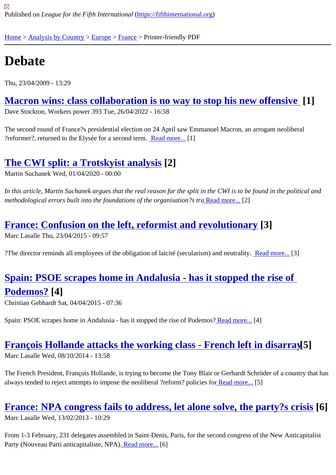# **[De](https://fifthinternational.org/)[bate](https://fifthinternational.org/category/1)**

Thu, 23/04/2009 - 13:29

Macron wins: class collaboration is no way to stop his new offensive Dave Stockton, Workers power 393 Tue, 26/04/2022 - 16:58

[The second round of France?s presidential election on 24 April saw Emmanuel Macron, an arrogan](https://fifthinternational.org/content/macron-wins-class-collaboration-no-way-stop-his-new-offensive)t neoliberal ?reformer?, returned to the Elysée for a second **termal more.**<sup>[1]</sup>

### The CWI split: a Trotskyist anal[ysis](https://fifthinternational.org/content/macron-wins-class-collaboration-no-way-stop-his-new-offensive) [2]

Martin Suchanek Wed, 01/04/2020 - 00:00

[In this article, Martin Suchanek argues that the real re](https://fifthinternational.org/content/cwi-split-trotskyist-analysis)ason for the split in the CWI is to be found in the political and methodological errors built into the foundations of the organisation?**Read more.**.[2]

#### France: Confusion on the left, reformist and [revolutio](https://fifthinternational.org/content/cwi-split-trotskyist-analysis)nary[3]

Marc Lasalle Thu, 23/04/2015 - 09:57

?The director reminds all employees of the obligation of laicité (secularism) and neurrality more.<sup>[3]</sup>

# Spain: PSOE scrapes home in Andalusia - has it stopp[ed the ris](https://fifthinternational.org/content/france-confusion-left-reformist-and-revolutionary)e of Podemos?[4]

[Christian Gebhardt Sat, 04/04/2015 - 07:36](https://fifthinternational.org/content/spain-psoe-scrapes-home-andalusia-has-it-stopped-rise-podemos)

[Spain: PSOE s](https://fifthinternational.org/content/spain-psoe-scrapes-home-andalusia-has-it-stopped-rise-podemos)crapes home in Andalusia - has it stopped the rise of Po**demos**? Read [4]

#### François Hollande attacks the working class - [French le](https://fifthinternational.org/content/spain-psoe-scrapes-home-andalusia-has-it-stopped-rise-podemos)ft in disarr&5]

Marc Lasalle Wed, 08/10/2014 - 13:58

[The French President, François Hollande, is trying to become the Tony Blair or Gerhardt Schröder](https://fifthinternational.org/content/françois-hollande-attacks-working-class-french-left-disarray) of a country tha always tended to reject attempts to impose the neoliberal ?reform? policles at more.<sup>[5]</sup>

#### France: NPA congress fails to address, let alon[e solve,](https://fifthinternational.org/content/françois-hollande-attacks-working-class-french-left-disarray) the party?s cr[66]s

Marc Lasalle Wed, 13/02/2013 - 10:29

[From 1-3 February, 231 delegates assembled in Saint-Denis, Paris, for the second congress of the New](https://fifthinternational.org/content/france-npa-congress-fails-address-let-alone-solve-party’s-crisis) Anticapita Party (Nouveau Parti anticapitaliste, NPR) ad more.<sup>[6]</sup>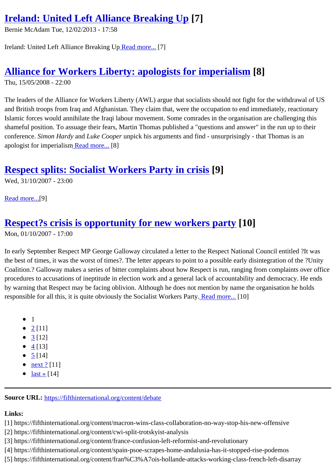Bernie McAdam Tue, 12/02/2013 - 17:58

Ireland: United Left Alliance Breaking Uread more.<sup>[7]</sup>

#### Alliance for Workers Libe[rty: apolo](https://fifthinternational.org/content/ireland-united-left-alliance-breaking)gists for imperialism [8]

Thu, 15/05/2008 - 22:00

[The leaders of the Alliance for Workers Liberty \(AWL\) argue that socialists should n](https://fifthinternational.org/content/alliance-workers-liberty-apologists-imperialism)ot fight for the withdrawal of US and British troops from Iraq and Afghanistan. They claim that, were the occupation to end immediately, reactionary Islamic forces would annihilate the Iraqi labour movement. Some comrades in the organisation are challenging this shameful position. To assuage their fears, Martin Thomas published a "questions and answer" in the run up to the conferenceSimon HardyandLuke Coopeunpick his arguments and find - unsurprisingly - that Thomas is an apologist for imperialism Read more.<sup>[8]</sup>

#### Respect splits: [Socialist](https://fifthinternational.org/content/alliance-workers-liberty-apologists-imperialism) Workers Party in crisi\$9]

Wed, 31/10/2007 - 23:00

Read more.<sup>[9]</sup>

## [Respec](https://fifthinternational.org/content/respect-splits-socialist-workers-party-crisis)t?s crisis is opportunity for new workers party[10]

Mon, 01/10/2007 - 17:00

[In early September Respect MP George Galloway circulated a letter to the Re](https://fifthinternational.org/content/respect’s-crisis-opportunity-new-workers-party)spect National Council entitled ?It w the best of times, it was the worst of times?. The letter appears to point to a possible early disintegration of the ?U Coalition.? Galloway makes a series of bitter complaints about how Respect is run, ranging from complaints over o procedures to accusations of ineptitude in election work and a general lack of accountability and democracy. He e by warning that Respect may be facing oblivion. Although he does not mention by name the organisation he holds responsible for all this, it is quite obviously the Socialist Workers Party more.<sup>[10]</sup>

- $1$
- $2[11]$
- $3[12]$
- $4 [13]$
- $5 [14]$  $5 [14]$
- <u>[n](https://fifthinternational.org/printpdf/content/debate?page=2)ext ?[</u>11]
- $\bullet$  <u>[la](https://fifthinternational.org/printpdf/content/debate?page=3)st »[14]</u>

Source [URL:](https://fifthinternational.org/printpdf/content/debate?page=4) https://fifthinternational.org/content/debate

Links:

- [1] https://fift[hinternational.org/content/macron-wins-c](https://fifthinternational.org/content/debate)lass-collaboration-no-way-stop-his-new-offensive
- [2] https://fifthinternational.org/content/cwi-split-trotskyist-analysis
- [3] https://fifthinternational.org/content/france-confusion-left-reformist-and-revolutionary
- [4] https://fifthinternational.org/content/spain-psoe-scrapes-home-andalusia-has-it-stopped-rise-podemos
- [5] https://fifthinternational.org/content/fran%C3%A7ois-hollande-attacks-working-class-french-left-disarray